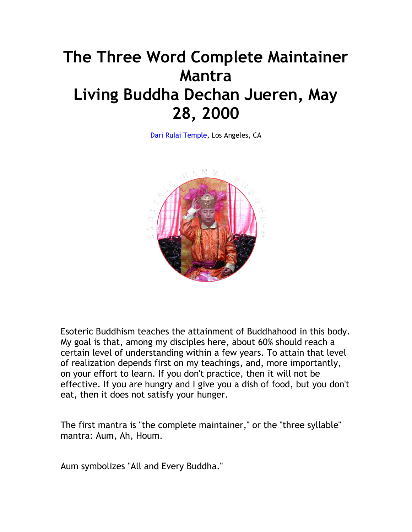## **The Three Word Complete Maintainer Mantra Living Buddha Dechan Jueren, May 28, 2000**

[Dari Rulai Temple,](http://darirulai.org/) Los Angeles, CA



Esoteric Buddhism teaches the attainment of Buddhahood in this body. My goal is that, among my disciples here, about 60% should reach a certain level of understanding within a few years. To attain that level of realization depends first on my teachings, and, more importantly, on your effort to learn. If you don't practice, then it will not be effective. If you are hungry and I give you a dish of food, but you don't eat, then it does not satisfy your hunger.

The first mantra is "the complete maintainer," or the "three syllable" mantra: Aum, Ah, Houm.

Aum symbolizes "All and Every Buddha."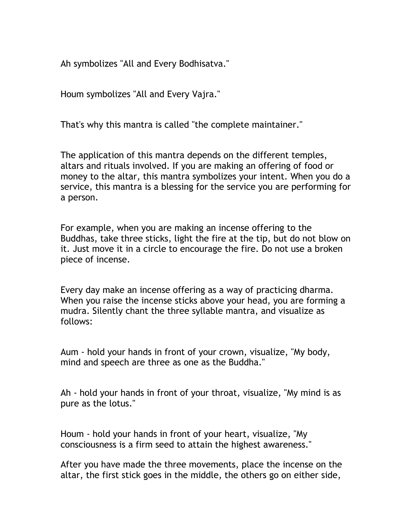Ah symbolizes "All and Every Bodhisatva."

Houm symbolizes "All and Every Vajra."

That's why this mantra is called "the complete maintainer."

The application of this mantra depends on the different temples, altars and rituals involved. If you are making an offering of food or money to the altar, this mantra symbolizes your intent. When you do a service, this mantra is a blessing for the service you are performing for a person.

For example, when you are making an incense offering to the Buddhas, take three sticks, light the fire at the tip, but do not blow on it. Just move it in a circle to encourage the fire. Do not use a broken piece of incense.

Every day make an incense offering as a way of practicing dharma. When you raise the incense sticks above your head, you are forming a mudra. Silently chant the three syllable mantra, and visualize as follows:

Aum - hold your hands in front of your crown, visualize, "My body, mind and speech are three as one as the Buddha."

Ah - hold your hands in front of your throat, visualize, "My mind is as pure as the lotus."

Houm - hold your hands in front of your heart, visualize, "My consciousness is a firm seed to attain the highest awareness."

After you have made the three movements, place the incense on the altar, the first stick goes in the middle, the others go on either side,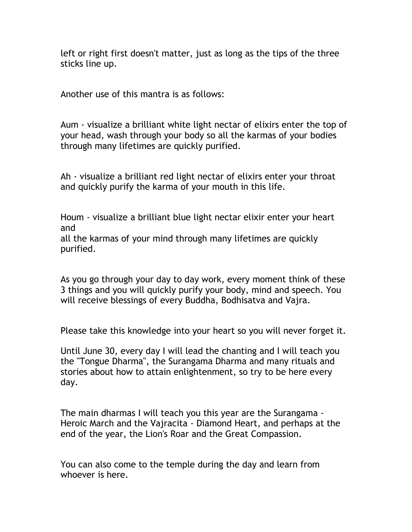left or right first doesn't matter, just as long as the tips of the three sticks line up.

Another use of this mantra is as follows:

Aum - visualize a brilliant white light nectar of elixirs enter the top of your head, wash through your body so all the karmas of your bodies through many lifetimes are quickly purified.

Ah - visualize a brilliant red light nectar of elixirs enter your throat and quickly purify the karma of your mouth in this life.

Houm - visualize a brilliant blue light nectar elixir enter your heart and

all the karmas of your mind through many lifetimes are quickly purified.

As you go through your day to day work, every moment think of these 3 things and you will quickly purify your body, mind and speech. You will receive blessings of every Buddha, Bodhisatva and Vajra.

Please take this knowledge into your heart so you will never forget it.

Until June 30, every day I will lead the chanting and I will teach you the "Tongue Dharma", the Surangama Dharma and many rituals and stories about how to attain enlightenment, so try to be here every day.

The main dharmas I will teach you this year are the Surangama - Heroic March and the Vajracita - Diamond Heart, and perhaps at the end of the year, the Lion's Roar and the Great Compassion.

You can also come to the temple during the day and learn from whoever is here.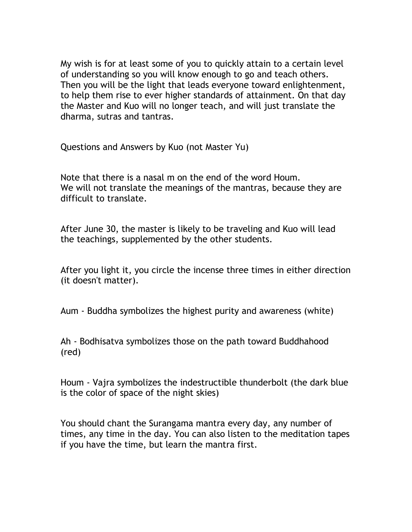My wish is for at least some of you to quickly attain to a certain level of understanding so you will know enough to go and teach others. Then you will be the light that leads everyone toward enlightenment, to help them rise to ever higher standards of attainment. On that day the Master and Kuo will no longer teach, and will just translate the dharma, sutras and tantras.

Questions and Answers by Kuo (not Master Yu)

Note that there is a nasal m on the end of the word Houm. We will not translate the meanings of the mantras, because they are difficult to translate.

After June 30, the master is likely to be traveling and Kuo will lead the teachings, supplemented by the other students.

After you light it, you circle the incense three times in either direction (it doesn't matter).

Aum - Buddha symbolizes the highest purity and awareness (white)

Ah - Bodhisatva symbolizes those on the path toward Buddhahood (red)

Houm - Vajra symbolizes the indestructible thunderbolt (the dark blue is the color of space of the night skies)

You should chant the Surangama mantra every day, any number of times, any time in the day. You can also listen to the meditation tapes if you have the time, but learn the mantra first.